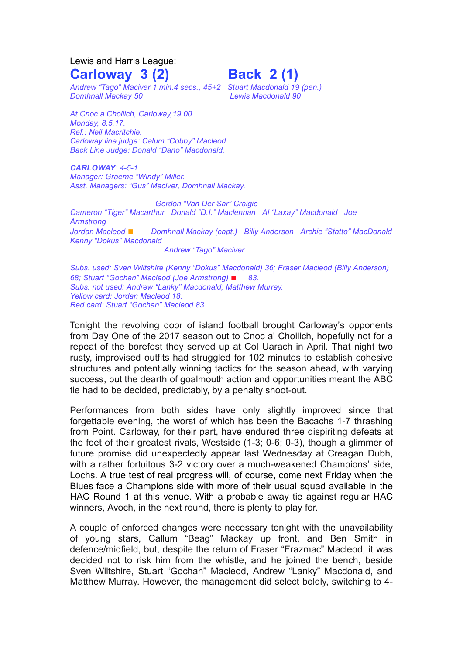Lewis and Harris League: **Carloway 3 (2) Back 2 (1)**

*Andrew "Tago" Maciver 1 min.4 secs., 45+2 Stuart Macdonald 19 (pen.) Domhnall Mackay 50 Lewis Macdonald 90*

*At Cnoc a Choilich, Carloway,19.00. Monday, 8.5.17. Ref.: Neil Macritchie. Carloway line judge: Calum "Cobby" Macleod. Back Line Judge: Donald "Dano" Macdonald.*

*CARLOWAY: 4-5-1. Manager: Graeme "Windy" Miller. Asst. Managers: "Gus" Maciver, Domhnall Mackay.*

*Gordon "Van Der Sar" Craigie Cameron "Tiger" Macarthur Donald "D.I." Maclennan Al "Laxay" Macdonald Joe Armstrong Jordan Macleod* ◼ *Domhnall Mackay (capt.) Billy Anderson Archie "Statto" MacDonald Kenny "Dokus" Macdonald Andrew "Tago" Maciver*

*Subs. used: Sven Wiltshire (Kenny "Dokus" Macdonald) 36; Fraser Macleod (Billy Anderson) 68; Stuart "Gochan" Macleod (Joe Armstrong)* ◼ *83. Subs. not used: Andrew "Lanky" Macdonald; Matthew Murray. Yellow card: Jordan Macleod 18. Red card: Stuart "Gochan" Macleod 83.*

Tonight the revolving door of island football brought Carloway's opponents from Day One of the 2017 season out to Cnoc a' Choilich, hopefully not for a repeat of the borefest they served up at Col Uarach in April. That night two rusty, improvised outfits had struggled for 102 minutes to establish cohesive structures and potentially winning tactics for the season ahead, with varying success, but the dearth of goalmouth action and opportunities meant the ABC tie had to be decided, predictably, by a penalty shoot-out.

Performances from both sides have only slightly improved since that forgettable evening, the worst of which has been the Bacachs 1-7 thrashing from Point. Carloway, for their part, have endured three dispiriting defeats at the feet of their greatest rivals, Westside (1-3; 0-6; 0-3), though a glimmer of future promise did unexpectedly appear last Wednesday at Creagan Dubh, with a rather fortuitous 3-2 victory over a much-weakened Champions' side, Lochs. A true test of real progress will, of course, come next Friday when the Blues face a Champions side with more of their usual squad available in the HAC Round 1 at this venue. With a probable away tie against regular HAC winners, Avoch, in the next round, there is plenty to play for.

A couple of enforced changes were necessary tonight with the unavailability of young stars, Callum "Beag" Mackay up front, and Ben Smith in defence/midfield, but, despite the return of Fraser "Frazmac" Macleod, it was decided not to risk him from the whistle, and he joined the bench, beside Sven Wiltshire, Stuart "Gochan" Macleod, Andrew "Lanky" Macdonald, and Matthew Murray. However, the management did select boldly, switching to 4-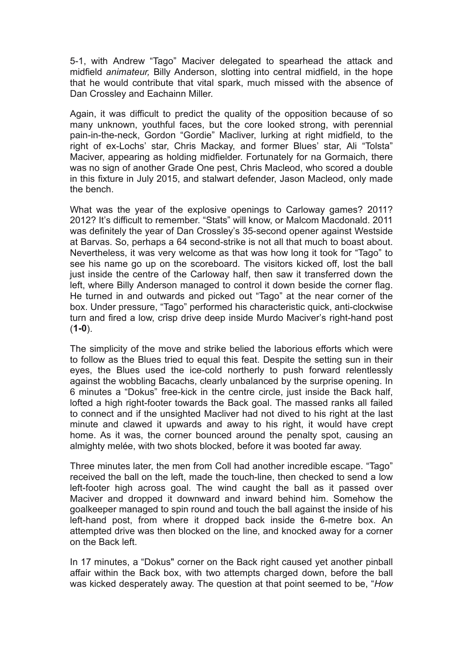5-1, with Andrew "Tago" Maciver delegated to spearhead the attack and midfield *animateur,* Billy Anderson, slotting into central midfield, in the hope that he would contribute that vital spark, much missed with the absence of Dan Crossley and Eachainn Miller.

Again, it was difficult to predict the quality of the opposition because of so many unknown, youthful faces, but the core looked strong, with perennial pain-in-the-neck, Gordon "Gordie" Macliver, lurking at right midfield, to the right of ex-Lochs' star, Chris Mackay, and former Blues' star, Ali "Tolsta" Maciver, appearing as holding midfielder. Fortunately for na Gormaich, there was no sign of another Grade One pest. Chris Macleod, who scored a double in this fixture in July 2015, and stalwart defender, Jason Macleod, only made the bench.

What was the year of the explosive openings to Carloway games? 2011? 2012? It's difficult to remember. "Stats" will know, or Malcom Macdonald. 2011 was definitely the year of Dan Crossley's 35-second opener against Westside at Barvas. So, perhaps a 64 second-strike is not all that much to boast about. Nevertheless, it was very welcome as that was how long it took for "Tago" to see his name go up on the scoreboard. The visitors kicked off, lost the ball just inside the centre of the Carloway half, then saw it transferred down the left, where Billy Anderson managed to control it down beside the corner flag. He turned in and outwards and picked out "Tago" at the near corner of the box. Under pressure, "Tago" performed his characteristic quick, anti-clockwise turn and fired a low, crisp drive deep inside Murdo Maciver's right-hand post (**1-0**).

The simplicity of the move and strike belied the laborious efforts which were to follow as the Blues tried to equal this feat. Despite the setting sun in their eyes, the Blues used the ice-cold northerly to push forward relentlessly against the wobbling Bacachs, clearly unbalanced by the surprise opening. In 6 minutes a "Dokus" free-kick in the centre circle, just inside the Back half, lofted a high right-footer towards the Back goal. The massed ranks all failed to connect and if the unsighted Macliver had not dived to his right at the last minute and clawed it upwards and away to his right, it would have crept home. As it was, the corner bounced around the penalty spot, causing an almighty melée, with two shots blocked, before it was booted far away.

Three minutes later, the men from Coll had another incredible escape. "Tago" received the ball on the left, made the touch-line, then checked to send a low left-footer high across goal. The wind caught the ball as it passed over Maciver and dropped it downward and inward behind him. Somehow the goalkeeper managed to spin round and touch the ball against the inside of his left-hand post, from where it dropped back inside the 6-metre box. An attempted drive was then blocked on the line, and knocked away for a corner on the Back left.

In 17 minutes, a "Dokus" corner on the Back right caused yet another pinball affair within the Back box, with two attempts charged down, before the ball was kicked desperately away. The question at that point seemed to be, "*How*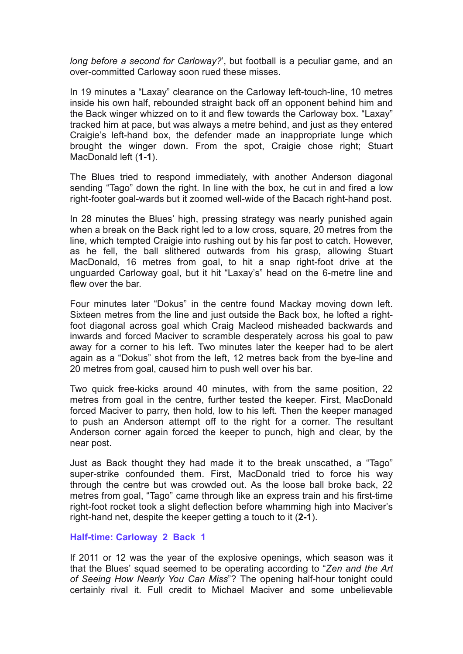*long before a second for Carloway?*', but football is a peculiar game, and an over-committed Carloway soon rued these misses.

In 19 minutes a "Laxay" clearance on the Carloway left-touch-line, 10 metres inside his own half, rebounded straight back off an opponent behind him and the Back winger whizzed on to it and flew towards the Carloway box. "Laxay" tracked him at pace, but was always a metre behind, and just as they entered Craigie's left-hand box, the defender made an inappropriate lunge which brought the winger down. From the spot, Craigie chose right; Stuart MacDonald left (**1-1**).

The Blues tried to respond immediately, with another Anderson diagonal sending "Tago" down the right. In line with the box, he cut in and fired a low right-footer goal-wards but it zoomed well-wide of the Bacach right-hand post.

In 28 minutes the Blues' high, pressing strategy was nearly punished again when a break on the Back right led to a low cross, square, 20 metres from the line, which tempted Craigie into rushing out by his far post to catch. However, as he fell, the ball slithered outwards from his grasp, allowing Stuart MacDonald, 16 metres from goal, to hit a snap right-foot drive at the unguarded Carloway goal, but it hit "Laxay's" head on the 6-metre line and flew over the bar.

Four minutes later "Dokus" in the centre found Mackay moving down left. Sixteen metres from the line and just outside the Back box, he lofted a rightfoot diagonal across goal which Craig Macleod misheaded backwards and inwards and forced Maciver to scramble desperately across his goal to paw away for a corner to his left. Two minutes later the keeper had to be alert again as a "Dokus" shot from the left, 12 metres back from the bye-line and 20 metres from goal, caused him to push well over his bar.

Two quick free-kicks around 40 minutes, with from the same position, 22 metres from goal in the centre, further tested the keeper. First, MacDonald forced Maciver to parry, then hold, low to his left. Then the keeper managed to push an Anderson attempt off to the right for a corner. The resultant Anderson corner again forced the keeper to punch, high and clear, by the near post.

Just as Back thought they had made it to the break unscathed, a "Tago" super-strike confounded them. First, MacDonald tried to force his way through the centre but was crowded out. As the loose ball broke back, 22 metres from goal, "Tago" came through like an express train and his first-time right-foot rocket took a slight deflection before whamming high into Maciver's right-hand net, despite the keeper getting a touch to it (**2-1**).

## **Half-time: Carloway 2 Back 1**

If 2011 or 12 was the year of the explosive openings, which season was it that the Blues' squad seemed to be operating according to "*Zen and the Art of Seeing How Nearly You Can Miss*"? The opening half-hour tonight could certainly rival it. Full credit to Michael Maciver and some unbelievable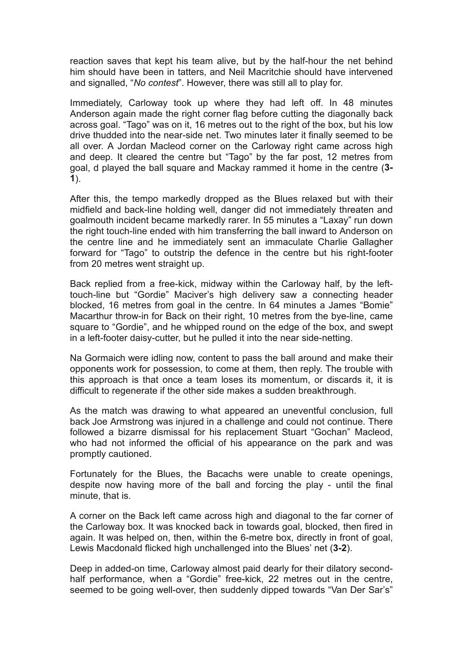reaction saves that kept his team alive, but by the half-hour the net behind him should have been in tatters, and Neil Macritchie should have intervened and signalled, "*No contest*". However, there was still all to play for.

Immediately, Carloway took up where they had left off. In 48 minutes Anderson again made the right corner flag before cutting the diagonally back across goal. "Tago" was on it, 16 metres out to the right of the box, but his low drive thudded into the near-side net. Two minutes later it finally seemed to be all over. A Jordan Macleod corner on the Carloway right came across high and deep. It cleared the centre but "Tago" by the far post, 12 metres from goal, d played the ball square and Mackay rammed it home in the centre (**3- 1**).

After this, the tempo markedly dropped as the Blues relaxed but with their midfield and back-line holding well, danger did not immediately threaten and goalmouth incident became markedly rarer. In 55 minutes a "Laxay" run down the right touch-line ended with him transferring the ball inward to Anderson on the centre line and he immediately sent an immaculate Charlie Gallagher forward for "Tago" to outstrip the defence in the centre but his right-footer from 20 metres went straight up.

Back replied from a free-kick, midway within the Carloway half, by the lefttouch-line but "Gordie" Maciver's high delivery saw a connecting header blocked, 16 metres from goal in the centre. In 64 minutes a James "Bomie" Macarthur throw-in for Back on their right, 10 metres from the bye-line, came square to "Gordie", and he whipped round on the edge of the box, and swept in a left-footer daisy-cutter, but he pulled it into the near side-netting.

Na Gormaich were idling now, content to pass the ball around and make their opponents work for possession, to come at them, then reply. The trouble with this approach is that once a team loses its momentum, or discards it, it is difficult to regenerate if the other side makes a sudden breakthrough.

As the match was drawing to what appeared an uneventful conclusion, full back Joe Armstrong was injured in a challenge and could not continue. There followed a bizarre dismissal for his replacement Stuart "Gochan" Macleod, who had not informed the official of his appearance on the park and was promptly cautioned.

Fortunately for the Blues, the Bacachs were unable to create openings, despite now having more of the ball and forcing the play - until the final minute, that is.

A corner on the Back left came across high and diagonal to the far corner of the Carloway box. It was knocked back in towards goal, blocked, then fired in again. It was helped on, then, within the 6-metre box, directly in front of goal, Lewis Macdonald flicked high unchallenged into the Blues' net (**3-2**).

Deep in added-on time, Carloway almost paid dearly for their dilatory secondhalf performance, when a "Gordie" free-kick, 22 metres out in the centre, seemed to be going well-over, then suddenly dipped towards "Van Der Sar's"